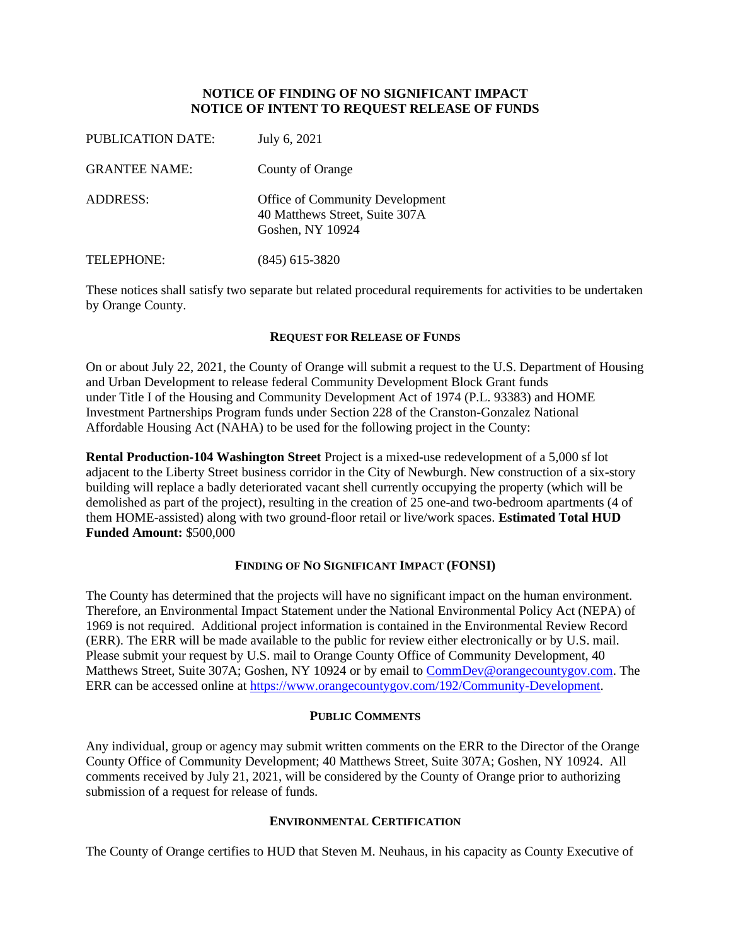# **NOTICE OF FINDING OF NO SIGNIFICANT IMPACT NOTICE OF INTENT TO REQUEST RELEASE OF FUNDS**

| PUBLICATION DATE:    | July 6, 2021                                                                          |
|----------------------|---------------------------------------------------------------------------------------|
| <b>GRANTEE NAME:</b> | County of Orange                                                                      |
| ADDRESS:             | Office of Community Development<br>40 Matthews Street, Suite 307A<br>Goshen, NY 10924 |
| TELEPHONE:           | $(845)$ 615-3820                                                                      |

These notices shall satisfy two separate but related procedural requirements for activities to be undertaken by Orange County.

#### **REQUEST FOR RELEASE OF FUNDS**

On or about July 22, 2021, the County of Orange will submit a request to the U.S. Department of Housing and Urban Development to release federal Community Development Block Grant funds under Title I of the Housing and Community Development Act of 1974 (P.L. 93383) and HOME Investment Partnerships Program funds under Section 228 of the Cranston-Gonzalez National Affordable Housing Act (NAHA) to be used for the following project in the County:

**Rental Production-104 Washington Street** Project is a mixed-use redevelopment of a 5,000 sf lot adjacent to the Liberty Street business corridor in the City of Newburgh. New construction of a six-story building will replace a badly deteriorated vacant shell currently occupying the property (which will be demolished as part of the project), resulting in the creation of 25 one-and two-bedroom apartments (4 of them HOME-assisted) along with two ground-floor retail or live/work spaces. **Estimated Total HUD Funded Amount:** \$500,000

## **FINDING OF NO SIGNIFICANT IMPACT (FONSI)**

The County has determined that the projects will have no significant impact on the human environment. Therefore, an Environmental Impact Statement under the National Environmental Policy Act (NEPA) of 1969 is not required. Additional project information is contained in the Environmental Review Record (ERR). The ERR will be made available to the public for review either electronically or by U.S. mail. Please submit your request by U.S. mail to Orange County Office of Community Development, 40 Matthews Street, Suite 307A; Goshen, NY 10924 or by email to [CommDev@orangecountygov.com.](mailto:CommDev@orangecountygov.com) The ERR can be accessed online at [https://www.orangecountygov.com/192/Community-Development.](https://www.orangecountygov.com/192/Community-Development)

## **PUBLIC COMMENTS**

Any individual, group or agency may submit written comments on the ERR to the Director of the Orange County Office of Community Development; 40 Matthews Street, Suite 307A; Goshen, NY 10924. All comments received by July 21, 2021, will be considered by the County of Orange prior to authorizing submission of a request for release of funds.

## **ENVIRONMENTAL CERTIFICATION**

The County of Orange certifies to HUD that Steven M. Neuhaus, in his capacity as County Executive of